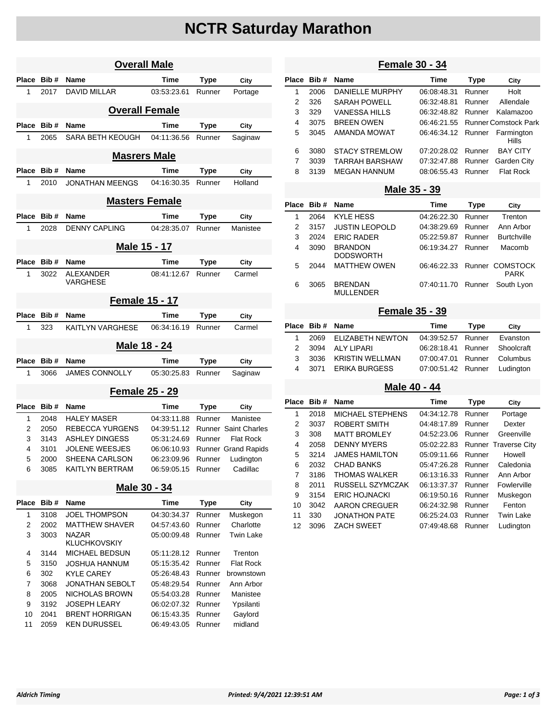# **NCTR Saturday Marathon**

| <b>Overall Male</b> |              |                                     |             |             |                             |
|---------------------|--------------|-------------------------------------|-------------|-------------|-----------------------------|
| Place               | Bib#         | Name                                | Time        | Type        | City                        |
| 1                   | 2017         | <b>DAVID MILLAR</b>                 | 03:53:23.61 | Runner      | Portage                     |
|                     |              | <b>Overall Female</b>               |             |             |                             |
| Place               | Bib#         | <b>Name</b>                         | Time        | <b>Type</b> | City                        |
| 1                   | 2065         | SARA BETH KEOUGH                    | 04:11:36.56 | Runner      | Saginaw                     |
|                     |              |                                     |             |             |                             |
|                     |              | <b>Masrers Male</b>                 |             |             |                             |
| Place               | Bib#         | <b>Name</b>                         | Time        | Type        | City                        |
| 1                   | 2010         | JONATHAN MEENGS                     | 04:16:30.35 | Runner      | Holland                     |
|                     |              | <b>Masters Female</b>               |             |             |                             |
| Place               | Bib#         | <b>Name</b>                         | Time        | Type        | City                        |
| 1                   | 2028         | <b>DENNY CAPLING</b>                | 04:28:35.07 | Runner      | Manistee                    |
|                     |              | Male 15 - 17                        |             |             |                             |
| Place               | Bib#         | <b>Name</b>                         | Time        | <b>Type</b> | City                        |
| 1                   | 3022         | <b>ALEXANDER</b>                    | 08:41:12.67 | Runner      | Carmel                      |
|                     |              | <b>VARGHESE</b>                     |             |             |                             |
|                     |              | <b>Female 15 - 17</b>               |             |             |                             |
| Place               | Bib#         | <b>Name</b>                         | Time        | Type        | City                        |
| 1                   | 323          | KAITLYN VARGHESE                    | 06:34:16.19 | Runner      | Carmel                      |
|                     |              | Male 18 - 24                        |             |             |                             |
| Place               | Bib#         | <b>Name</b>                         | Time        | <b>Type</b> | City                        |
| 1                   | 3066         | <b>JAMES CONNOLLY</b>               | 05:30:25.83 | Runner      | Saginaw                     |
|                     |              | <b>Female 25 - 29</b>               |             |             |                             |
| Place               | Bib#         | <b>Name</b>                         | Time        |             |                             |
| 1                   | 2048         | <b>HALEY MASER</b>                  |             | Type        | City                        |
| 2                   |              |                                     |             |             |                             |
| 3                   |              |                                     | 04:33:11.88 | Runner      | Manistee                    |
|                     | 2050         | <b>REBECCA YURGENS</b>              | 04:39:51.12 |             | <b>Runner Saint Charles</b> |
|                     | 3143         | <b>ASHLEY DINGESS</b>               | 05:31:24.69 | Runner      | <b>Flat Rock</b>            |
| 4                   | 3101<br>2000 | <b>JOLENE WEESJES</b>               | 06:06:10.93 | Runner      | <b>Runner Grand Rapids</b>  |
| 5                   |              | SHEENA CARLSON                      | 06:23:09.96 |             | Ludington                   |
| 6                   | 3085         | KAITLYN BERTRAM                     | 06:59:05.15 | Runner      | Cadillac                    |
|                     |              | Male 30 - 34                        |             |             |                             |
| Place               | Bib#         | Name                                | <b>Time</b> | <b>Type</b> | City                        |
| 1                   | 3108         | <b>JOEL THOMPSON</b>                | 04:30:34.37 | Runner      | Muskegon                    |
| 2                   | 2002         | <b>MATTHEW SHAVER</b>               | 04:57:43.60 | Runner      | Charlotte                   |
| 3                   | 3003         | <b>NAZAR</b><br><b>KLUCHKOVSKIY</b> | 05:00:09.48 | Runner      | <b>Twin Lake</b>            |
| 4                   | 3144         | MICHAEL BEDSUN                      | 05:11:28.12 | Runner      | Trenton                     |
| 5                   | 3150         | JOSHUA HANNUM                       | 05:15:35.42 | Runner      | <b>Flat Rock</b>            |
| 6                   | 302          | <b>KYLE CAREY</b>                   | 05:26:48.43 | Runner      | brownstown                  |
| 7                   | 3068         | <b>JONATHAN SEBOLT</b>              | 05:48:29.54 | Runner      | Ann Arbor                   |
| 8                   | 2005         | NICHOLAS BROWN                      | 05:54:03.28 | Runner      | Manistee                    |
| 9                   | 3192         | <b>JOSEPH LEARY</b>                 | 06:02:07.32 | Runner      |                             |
| 10                  | 2041         | <b>BRENT HORRIGAN</b>               | 06:15:43.35 | Runner      | Ypsilanti<br>Gaylord        |

# **Female 30 - 34**

|   | Place Bib# | <b>Name</b>            | Time               | <b>Type</b> | City                             |
|---|------------|------------------------|--------------------|-------------|----------------------------------|
| 1 | 2006       | <b>DANIELLE MURPHY</b> | 06:08:48.31        | Runner      | Holt                             |
| 2 | 326        | <b>SARAH POWELL</b>    | 06:32:48.81        | Runner      | Allendale                        |
| 3 | 329        | <b>VANESSA HILLS</b>   | 06:32:48.82 Runner |             | Kalamazoo                        |
| 4 | 3075       | <b>BREEN OWEN</b>      |                    |             | 06:46:21.55 Runner Comstock Park |
| 5 | 3045       | AMANDA MOWAT           | 06:46:34.12 Runner |             | Farmington<br>Hills              |
| 6 | 3080       | <b>STACY STREMLOW</b>  | 07:20:28.02        | Runner      | <b>BAY CITY</b>                  |
| 7 | 3039       | TARRAH BARSHAW         | 07:32:47.88        | Runner      | Garden City                      |
| 8 | 3139       | <b>MEGAN HANNUM</b>    | 08:06:55.43        | Runner      | <b>Flat Rock</b>                 |
|   |            |                        |                    |             |                                  |

#### **Male 35 - 39**

|   | Place Bib# | <b>Name</b>                        | Time               | Type   | City                           |
|---|------------|------------------------------------|--------------------|--------|--------------------------------|
| 1 | 2064       | <b>KYLE HESS</b>                   | 04:26:22.30        | Runner | Trenton                        |
| 2 | 3157       | <b>JUSTIN LEOPOLD</b>              | 04:38:29.69        | Runner | Ann Arbor                      |
| 3 | 2024       | <b>ERIC RADER</b>                  | 05:22:59.87        | Runner | <b>Burtchville</b>             |
| 4 | 3090       | <b>BRANDON</b><br><b>DODSWORTH</b> | 06:19:34.27        | Runner | Macomb                         |
| 5 | 2044       | <b>MATTHEW OWEN</b>                | 06:46:22:33        |        | Runner COMSTOCK<br><b>PARK</b> |
| 6 | 3065       | <b>BRENDAN</b><br><b>MULLENDER</b> | 07:40:11.70 Runner |        | South Lvon                     |

## **Female 35 - 39**

|           | Place Bib # Name      | Time                          | Type | City     |  |
|-----------|-----------------------|-------------------------------|------|----------|--|
| $1 \quad$ | 2069 ELIZABETH NEWTON | 04:39:52.57 Runner            |      | Evanston |  |
|           | 2 3094 ALY LIPARI     | 06:28:18.41 Runner Shoolcraft |      |          |  |
| 3         | 3036 KRISTIN WELLMAN  | 07:00:47.01 Runner Columbus   |      |          |  |
|           | 4 3071 ERIKA BURGESS  | 07:00:51.42 Runner Ludington  |      |          |  |

## **Male 40 - 44**

| Place | Bib # | <b>Name</b>             | Time        | <b>Type</b> | City                        |
|-------|-------|-------------------------|-------------|-------------|-----------------------------|
| 1     | 2018  | <b>MICHAEL STEPHENS</b> | 04:34:12.78 | Runner      | Portage                     |
| 2     | 3037  | ROBERT SMITH            | 04:48:17.89 | Runner      | Dexter                      |
| 3     | 308   | <b>MATT BROMLEY</b>     | 04:52:23.06 | Runner      | Greenville                  |
| 4     | 2058  | DENNY MYERS             | 05:02:22.83 |             | <b>Runner Traverse City</b> |
| 5     | 3214  | <b>JAMES HAMILTON</b>   | 05:09:11.66 | Runner      | Howell                      |
| 6     | 2032  | CHAD BANKS              | 05:47:26.28 | Runner      | Caledonia                   |
| 7     | 3186  | THOMAS WAI KFR          | 06:13:16.33 | Runner      | Ann Arbor                   |
| 8     | 2011  | RUSSELL SZYMCZAK        | 06:13:37.37 | Runner      | Fowlerville                 |
| 9     | 3154  | <b>ERIC HOJNACKI</b>    | 06:19:50.16 | Runner      | Muskegon                    |
| 10    | 3042  | AARON CREGUER           | 06:24:32.98 | Runner      | Fenton                      |
| 11    | 330   | JONATHON PATE           | 06:25:24.03 | Runner      | Twin Lake                   |
| 12    | 3096  | <b>ZACH SWEET</b>       | 07:49:48.68 | Runner      | Ludington                   |
|       |       |                         |             |             |                             |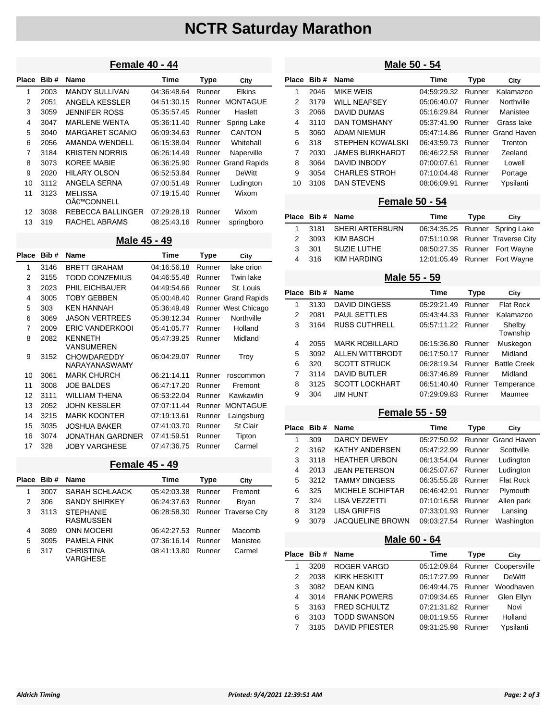# **NCTR Saturday Marathon**

# **Female 40 - 44**

| Place | Bib# | <b>Name</b>              | Time        | <b>Type</b> | City                       |
|-------|------|--------------------------|-------------|-------------|----------------------------|
| 1     | 2003 | <b>MANDY SULLIVAN</b>    | 04:36:48.64 | Runner      | <b>Elkins</b>              |
| 2     | 2051 | ANGELA KESSLER           | 04:51:30.15 | Runner      | <b>MONTAGUE</b>            |
| 3     | 3059 | <b>JENNIFER ROSS</b>     | 05:35:57.45 | Runner      | Haslett                    |
| 4     | 3047 | <b>MARLENE WENTA</b>     | 05:36:11.40 | Runner      | Spring Lake                |
| 5     | 3040 | <b>MARGARET SCANIO</b>   | 06:09:34.63 | Runner      | CANTON                     |
| 6     | 2056 | AMANDA WENDELL           | 06:15:38.04 | Runner      | Whitehall                  |
| 7     | 3184 | <b>KRISTEN NORRIS</b>    | 06:26:14.49 | Runner      | Naperville                 |
| 8     | 3073 | <b>KOREE MABIE</b>       | 06:36:25.90 |             | <b>Runner Grand Rapids</b> |
| 9     | 2020 | <b>HILARY OLSON</b>      | 06:52:53.84 | Runner      | <b>DeWitt</b>              |
| 10    | 3112 | ANGELA SERNA             | 07:00:51.49 | Runner      | Ludington                  |
| 11    | 3123 | <b>MELISSA</b>           | 07:19:15.40 | Runner      | Wixom                      |
|       |      | O€™CONNELL               |             |             |                            |
| 12    | 3038 | <b>REBECCA BALLINGER</b> | 07:29:28.19 | Runner      | Wixom                      |
| 13    | 319  | RACHEL ABRAMS            | 08:25:43.16 | Runner      | springboro                 |

**Male 45 - 49**

| Place          | Bib# | <b>Name</b>                         | Time        | Type   | City                |
|----------------|------|-------------------------------------|-------------|--------|---------------------|
| 1              | 3146 | <b>BRETT GRAHAM</b>                 | 04:16:56.18 | Runner | lake orion          |
| $\overline{2}$ | 3155 | TODD CONZEMIUS                      | 04:46:55.48 | Runner | Twin lake           |
| 3              | 2023 | PHIL EICHBAUER                      | 04:49:54.66 | Runner | St. Louis           |
| 4              | 3005 | <b>TOBY GEBBEN</b>                  | 05:00:48.40 |        | Runner Grand Rapids |
| 5              | 303  | <b>KEN HANNAH</b>                   | 05:36:49.49 |        | Runner West Chicago |
| 6              | 3069 | <b>JASON VERTREES</b>               | 05:38:12.34 | Runner | Northville          |
| 7              | 2009 | <b>ERIC VANDERKOOI</b>              | 05:41:05.77 | Runner | Holland             |
| 8              | 2082 | <b>KENNETH</b><br><b>VANSUMEREN</b> | 05:47:39.25 | Runner | Midland             |
| 9              | 3152 | <b>CHOWDAREDDY</b><br>NARAYANASWAMY | 06:04:29.07 | Runner | Troy                |
| 10             | 3061 | <b>MARK CHURCH</b>                  | 06:21:14.11 | Runner | roscommon           |
| 11             | 3008 | <b>JOE BALDES</b>                   | 06:47:17.20 | Runner | Fremont             |
| 12             | 3111 | <b>WILLIAM THENA</b>                | 06:53:22.04 | Runner | Kawkawlin           |
| 13             | 2052 | <b>JOHN KESSLER</b>                 | 07:07:11.44 | Runner | <b>MONTAGUE</b>     |
| 14             | 3215 | <b>MARK KOONTER</b>                 | 07:19:13.61 | Runner | Laingsburg          |
| 15             | 3035 | <b>JOSHUA BAKER</b>                 | 07:41:03.70 | Runner | <b>St Clair</b>     |
| 16             | 3074 | <b>JONATHAN GARDNER</b>             | 07:41:59.51 | Runner | Tipton              |
| 17             | 328  | <b>JOBY VARGHESE</b>                | 07:47:36.75 | Runner | Carmel              |

#### **Female 45 - 49**

|   | Place Bib# | <b>Name</b>                          | Time               | Type   | City                        |
|---|------------|--------------------------------------|--------------------|--------|-----------------------------|
| 1 | 3007       | SARAH SCHLAACK                       | 05:42:03.38        | Runner | Fremont                     |
| 2 | 306        | <b>SANDY SHIRKEY</b>                 | 06.24.37.63        | Runner | Bryan                       |
| 3 | 3113       | <b>STEPHANIE</b><br><b>RASMUSSEN</b> | 06:28:58.30        |        | <b>Runner Traverse City</b> |
| 4 | 3089       | <b>ONN MOCERI</b>                    | 06:42:27.53 Runner |        | Macomb                      |
| 5 | 3095       | <b>PAMELA FINK</b>                   | 07:36:16.14        | Runner | Manistee                    |
| 6 | 317        | <b>CHRISTINA</b><br>VARGHESE         | 08:41:13.80        | Runner | Carmel                      |

### **Male 50 - 54**

| Place | Bib# | <b>Name</b>             | Time        | <b>Type</b> | City               |
|-------|------|-------------------------|-------------|-------------|--------------------|
| 1     | 2046 | MIKE WEIS               | 04:59:29.32 | Runner      | Kalamazoo          |
| 2     | 3179 | <b>WILL NEAFSEY</b>     | 05:06:40.07 | Runner      | Northville         |
| 3     | 2066 | DAVID DUMAS             | 05:16:29.84 | Runner      | Manistee           |
| 4     | 3110 | <b>DAN TOMSHANY</b>     | 05:37:41.90 | Runner      | Grass lake         |
| 5     | 3060 | <b>ADAM NIEMUR</b>      | 05:47:14.86 |             | Runner Grand Haven |
| 6     | 318  | <b>STEPHEN KOWALSKI</b> | 06:43:59.73 | Runner      | Trenton            |
| 7     | 2030 | <b>JAMES BURKHARDT</b>  | 06:46:22.58 | Runner      | Zeeland            |
| 8     | 3064 | DAVID INBODY            | 07:00:07.61 | Runner      | Lowell             |
| 9     | 3054 | <b>CHARLES STROH</b>    | 07:10:04.48 | Runner      | Portage            |
| 10    | 3106 | <b>DAN STEVENS</b>      | 08:06:09.91 | Runner      | Ypsilanti          |

#### **Female 50 - 54**

|       | Place Bib # Name       | Time                           | Type | City                             |
|-------|------------------------|--------------------------------|------|----------------------------------|
|       | 1 3181 SHERI ARTERBURN | 06:34:35.25 Runner Spring Lake |      |                                  |
|       | 2 3093 KIM BASCH       |                                |      | 07:51:10.98 Runner Traverse City |
| 3 301 | SUZIE LUTHE            | 08:50:27.35 Runner Fort Wayne  |      |                                  |
|       | 4 316 KIM HARDING      | 12:01:05.49 Runner Fort Wayne  |      |                                  |

#### **Male 55 - 59**

|   | Place Bib# | <b>Name</b>           | Time               | <b>Type</b> | City                |
|---|------------|-----------------------|--------------------|-------------|---------------------|
| 1 | 3130       | DAVID DINGESS         | 05:29:21.49        | Runner      | <b>Flat Rock</b>    |
| 2 | 2081       | <b>PAUL SETTLES</b>   | 05:43:44.33        | Runner      | Kalamazoo           |
| 3 | 3164       | <b>RUSS CUTHRELL</b>  | 05:57:11.22 Runner |             | Shelby<br>Township  |
| 4 | 2055       | <b>MARK ROBILLARD</b> | 06:15:36.80        | Runner      | Muskegon            |
| 5 | 3092       | ALLEN WITTBRODT       | 06:17:50.17        | Runner      | Midland             |
| 6 | 320        | <b>SCOTT STRUCK</b>   | 06:28:19.34        | Runner      | <b>Battle Creek</b> |
| 7 | 3114       | <b>DAVID BUTLER</b>   | 06:37:46.89        | Runner      | Midland             |
| 8 | 3125       | <b>SCOTT LOCKHART</b> | 06:51:40.40        |             | Runner Temperance   |
| 9 | 304        | <b>JIM HUNT</b>       | 07:29:09.83        | Runner      | Maumee              |

### **Female 55 - 59**

|   | Place Bib # | <b>Name</b>             | Time        | Type   | City               |
|---|-------------|-------------------------|-------------|--------|--------------------|
| 1 | 309         | DARCY DEWEY             | 05:27:50.92 |        | Runner Grand Haven |
| 2 | 3162        | <b>KATHY ANDERSEN</b>   | 05:47:22.99 | Runner | Scottville         |
| 3 | 3118        | <b>HEATHER URBON</b>    | 06:13:54.04 | Runner | Ludington          |
| 4 | 2013        | <b>JEAN PETERSON</b>    | 06:25:07.67 | Runner | Ludington          |
| 5 | 3212        | TAMMY DINGFSS           | 06:35:55.28 | Runner | <b>Flat Rock</b>   |
| 6 | 325         | <b>MICHELE SCHIFTAR</b> | 06:46:42.91 | Runner | Plymouth           |
| 7 | 324         | LISA VEZZETTI           | 07:10:16.58 | Runner | Allen park         |
| 8 | 3129        | <b>LISA GRIFFIS</b>     | 07:33:01.93 | Runner | Lansing            |
| 9 | 3079        | <b>JACQUELINE BROWN</b> | 09:03:27.54 | Runner | Washington         |
|   |             |                         |             |        |                    |

#### **Male 60 - 64**

|   | Place Bib # Name |                       | Time                          | <b>Type</b> | City                            |
|---|------------------|-----------------------|-------------------------------|-------------|---------------------------------|
| 1 | 3208             | <b>ROGER VARGO</b>    |                               |             | 05:12:09.84 Runner Coopersville |
| 2 | 2038             | KIRK HESKITT          | 05:17:27.99 Runner DeWitt     |             |                                 |
| 3 | 3082             | <b>DEAN KING</b>      | 06:49:44.75 Runner Woodhaven  |             |                                 |
| 4 | 3014             | <b>FRANK POWERS</b>   | 07:09:34.65 Runner Glen Ellyn |             |                                 |
| 5 | 3163             | <b>FRED SCHULTZ</b>   | 07:21:31.82 Runner            |             | Novi                            |
| 6 | 3103             | <b>TODD SWANSON</b>   | 08:01:19.55 Runner Holland    |             |                                 |
| 7 | 3185             | <b>DAVID PFIESTER</b> | 09:31:25.98 Runner            |             | Ypsilanti                       |